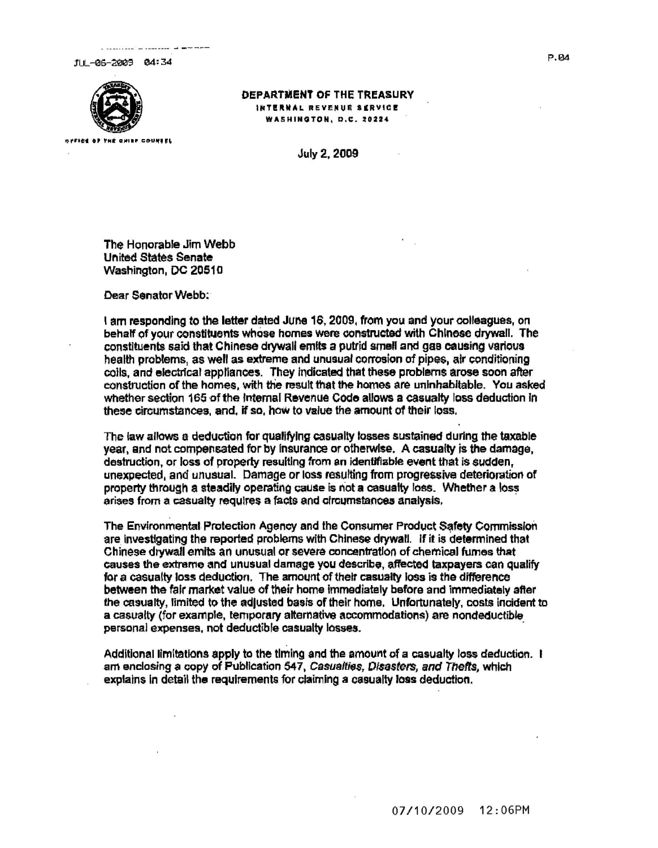111 -06-2009 04:34



## OEPARTNIENT OF THE TREASURY INTERNAL REVENUE SERVICE

**WASHINOTON, D.C. t0224** 

July 2,2009

The Honorable Jim Webb **United States Senate** Washington, DC 20510

Dear Senator Webb:

I am responding to the letter dated June 16,2009, from you and your colleagues, on behalf of your constituents whose homes were constructed with Chinese drywall. The constituents said that Chinese drywall emits a putrid small and gas causing various health problems, as well as extreme and unusual corrosion of pipes, air conditioning coils, and electrical appliances. They Indicated that these problems arose soon after construction of the homes, with the result that the homes are uninhabitable. You asked whether section 165 of the Internal Revenue Code allows a casualty loss deduction in these circumstances, and, if so, haw to value the amount of their loss.

The law allows a deduction for qualifying casualty losses sustained during the taxable year, and not compensated for by insurance or otherwise. A casualty is the damage, destruction, or loss of property resulting from an identifiable event that is sudden, unexpected, and unusual. Damage or loss resulting from progressive deteriomtion of property through a steadily operating cause is not a casualty loss. Whether a loss arises from a casualty requires a facts and circumstances analysis.

The Environmental Protection Agency and the Consumer Product Safety Commission are investigating the reported problems with Chinese drywall. If it is determined that Chinese drywall emits an unusual or severe concentratIon of chemical fumes that causes the extreme and unusual damage you describe, affected taxpayers can qualify for a casualty loss deduction. The amount of their casually loss is the difference between the fair market value of their home immediately before and immediately after the casualty, limited to the adjusted basis of their home. Unfortunately, costs incident to a casualty (for example, temporary alternative accommodations) are nondeductible personal expenses, not deductible casualty losses. .

Additional limitations apply to the timing and the amount of a casualty loss deduction. I am enclosing a copy of Publication 547, Casualties, Disasters, and Thefts, which explains in detail the requirements for claiming a casualty loss deduction,